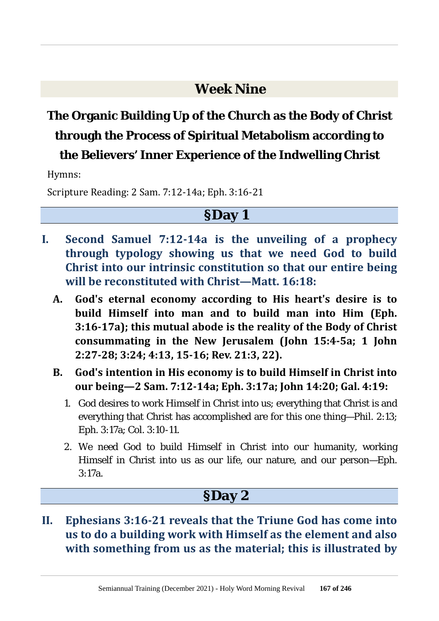### **Week Nine**

# **The Organic Building Up of the Church as the Body of Christ through the Process of Spiritual Metabolism according to**

### **the Believers' Inner Experience of the Indwelling Christ**

Hymns:

Scripture Reading: 2 Sam. 7:12-14a; Eph. 3:16-21

#### **§Day 1**

- **I. Second Samuel 7:12-14a is the unveiling of a prophecy through typology showing us that we need God to build Christ into our intrinsic constitution so that our entire being will be reconstituted with Christ—Matt. 16:18:**
	- **A. God's eternal economy according to His heart's desire is to build Himself into man and to build man into Him (Eph. 3:16-17a); this mutual abode is the reality of the Body of Christ consummating in the New Jerusalem (John 15:4-5a; 1 John 2:27-28; 3:24; 4:13, 15-16; Rev. 21:3, 22).**
	- **B. God's intention in His economy is to build Himself in Christ into our being—2 Sam. 7:12-14a; Eph. 3:17a; John 14:20; Gal. 4:19:**
		- 1. God desires to work Himself in Christ into us; everything that Christ is and everything that Christ has accomplished are for this one thing—Phil. 2:13; Eph. 3:17a; Col. 3:10-11.
		- 2. We need God to build Himself in Christ into our humanity, working Himself in Christ into us as our life, our nature, and our person—Eph. 3:17a.

### **§Day 2**

**II. Ephesians 3:16-21 reveals that the Triune God has come into us to do a building work with Himself as the element and also with something from us as the material; this is illustrated by**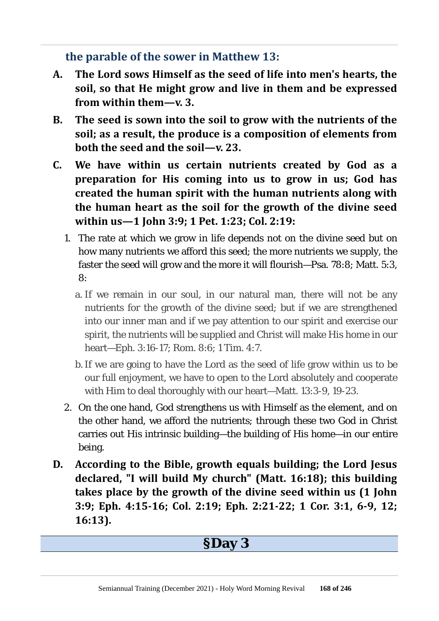**the parable of the sower in Matthew 13:**

- **A. The Lord sows Himself as the seed of life into men's hearts, the soil, so that He might grow and live in them and be expressed from within them—v. 3.**
- **B. The seed is sown into the soil to grow with the nutrients of the soil; as a result, the produce is a composition of elements from both the seed and the soil—v. 23.**
- **C. We have within us certain nutrients created by God as a preparation for His coming into us to grow in us; God has created the human spirit with the human nutrients along with the human heart as the soil for the growth of the divine seed within us—1 John 3:9; 1 Pet. 1:23; Col. 2:19:**
	- 1. The rate at which we grow in life depends not on the divine seed but on how many nutrients we afford this seed; the more nutrients we supply, the faster the seed will grow and the more it will flourish—Psa. 78:8; Matt. 5:3, 8:
		- a. If we remain in our soul, in our natural man, there will not be any nutrients for the growth of the divine seed; but if we are strengthened into our inner man and if we pay attention to our spirit and exercise our spirit, the nutrients will be supplied and Christ will make His home in our heart—Eph. 3:16-17; Rom. 8:6; 1 Tim. 4:7.
		- b.If we are going to have the Lord as the seed of life grow within us to be our full enjoyment, we have to open to the Lord absolutely and cooperate with Him to deal thoroughly with our heart—Matt. 13:3-9, 19-23.
	- 2. On the one hand, God strengthens us with Himself as the element, and on the other hand, we afford the nutrients; through these two God in Christ carries out His intrinsic building—the building of His home—in our entire being.
- **D. According to the Bible, growth equals building; the Lord Jesus declared, "I will build My church" (Matt. 16:18); this building takes place by the growth of the divine seed within us (1 John 3:9; Eph. 4:15-16; Col. 2:19; Eph. 2:21-22; 1 Cor. 3:1, 6-9, 12; 16:13).**

### **§Day 3**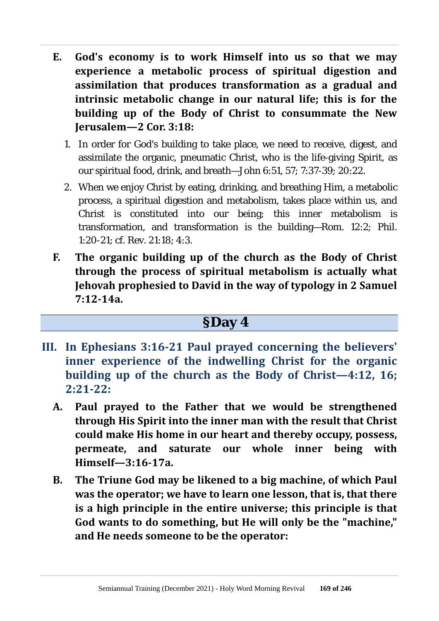- **E. God's economy is to work Himself into us so that we may experience a metabolic process of spiritual digestion and assimilation that produces transformation as a gradual and intrinsic metabolic change in our natural life; this is for the building up of the Body of Christ to consummate the New Jerusalem—2 Cor. 3:18:**
	- 1. In order for God's building to take place, we need to receive, digest, and assimilate the organic, pneumatic Christ, who is the life-giving Spirit, as our spiritual food, drink, and breath—John 6:51, 57; 7:37-39; 20:22.
	- 2. When we enjoy Christ by eating, drinking, and breathing Him, a metabolic process, a spiritual digestion and metabolism, takes place within us, and Christ is constituted into our being; this inner metabolism is transformation, and transformation is the building—Rom. 12:2; Phil. 1:20-21; cf. Rev. 21:18; 4:3.
- **F. The organic building up of the church as the Body of Christ through the process of spiritual metabolism is actually what Jehovah prophesied to David in the way of typology in 2 Samuel 7:12-14a.**

### **§Day 4**

- **III. In Ephesians 3:16-21 Paul prayed concerning the believers' inner experience of the indwelling Christ for the organic building up of the church as the Body of Christ—4:12, 16; 2:21-22:**
	- **A. Paul prayed to the Father that we would be strengthened through His Spirit into the inner man with the result that Christ could make His home in our heart and thereby occupy, possess, permeate, and saturate our whole inner being with Himself—3:16-17a.**
	- **B. The Triune God may be likened to a big machine, of which Paul was the operator; we have to learn one lesson, that is, that there is a high principle in the entire universe; this principle is that God wants to do something, but He will only be the "machine," and He needs someone to be the operator:**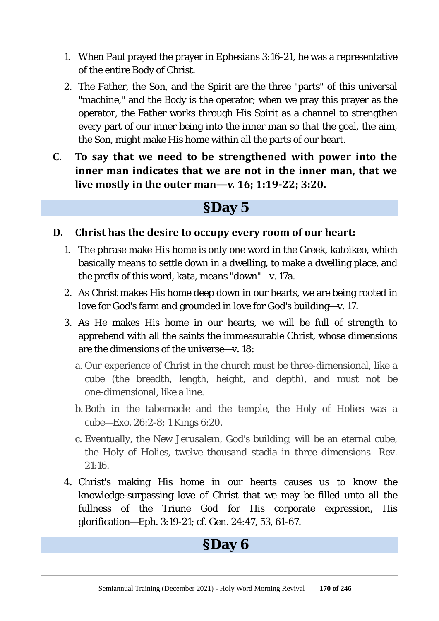- 1. When Paul prayed the prayer in Ephesians 3:16-21, he was a representative of the entire Body of Christ.
- 2. The Father, the Son, and the Spirit are the three "parts" of this universal "machine," and the Body is the operator; when we pray this prayer as the operator, the Father works through His Spirit as a channel to strengthen every part of our inner being into the inner man so that the goal, the aim, the Son, might make His home within all the parts of our heart.
- **C. To say that we need to be strengthened with power into the inner man indicates that we are not in the inner man, that we live mostly in the outer man—v. 16; 1:19-22; 3:20.**

### **§Day 5**

#### **D. Christ has the desire to occupy every room of our heart:**

- 1. The phrase make His home is only one word in the Greek, katoikeo, which basically means to settle down in a dwelling, to make a dwelling place, and the prefix of this word, kata, means "down"—v. 17a.
- 2. As Christ makes His home deep down in our hearts, we are being rooted in love for God's farm and grounded in love for God's building—v. 17.
- 3. As He makes His home in our hearts, we will be full of strength to apprehend with all the saints the immeasurable Christ, whose dimensions are the dimensions of the universe—v. 18:
	- a. Our experience of Christ in the church must be three-dimensional, like a cube (the breadth, length, height, and depth), and must not be one-dimensional, like a line.
	- b. Both in the tabernacle and the temple, the Holy of Holies was a cube—Exo. 26:2-8; 1 Kings 6:20.
	- c. Eventually, the New Jerusalem, God's building, will be an eternal cube, the Holy of Holies, twelve thousand stadia in three dimensions—Rev. 21:16.
- 4. Christ's making His home in our hearts causes us to know the knowledge-surpassing love of Christ that we may be filled unto all the fullness of the Triune God for His corporate expression, His glorification—Eph. 3:19-21; cf. Gen. 24:47, 53, 61-67.

### **§Day 6**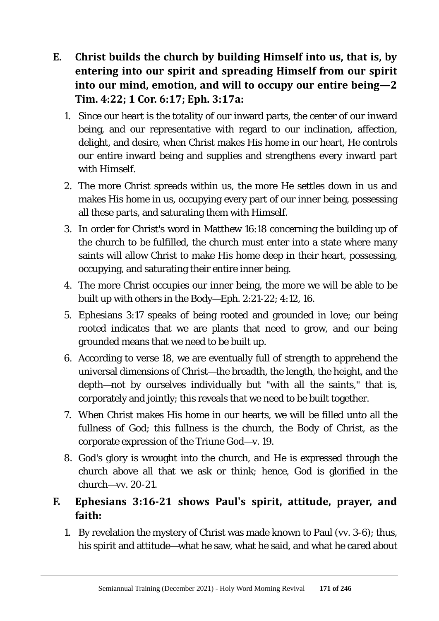- **E. Christ builds the church by building Himself into us, that is, by entering into our spirit and spreading Himself from our spirit into our mind, emotion, and will to occupy our entire being—2 Tim. 4:22; 1 Cor. 6:17; Eph. 3:17a:**
	- 1. Since our heart is the totality of our inward parts, the center of our inward being, and our representative with regard to our inclination, affection, delight, and desire, when Christ makes His home in our heart, He controls our entire inward being and supplies and strengthens every inward part with Himself.
	- 2. The more Christ spreads within us, the more He settles down in us and makes His home in us, occupying every part of our inner being, possessing all these parts, and saturating them with Himself.
	- 3. In order for Christ's word in Matthew 16:18 concerning the building up of the church to be fulfilled, the church must enter into a state where many saints will allow Christ to make His home deep in their heart, possessing, occupying, and saturating their entire inner being.
	- 4. The more Christ occupies our inner being, the more we will be able to be built up with others in the Body—Eph. 2:21-22; 4:12, 16.
	- 5. Ephesians 3:17 speaks of being rooted and grounded in love; our being rooted indicates that we are plants that need to grow, and our being grounded means that we need to be built up.
	- 6. According to verse 18, we are eventually full of strength to apprehend the universal dimensions of Christ—the breadth, the length, the height, and the depth—not by ourselves individually but "with all the saints," that is, corporately and jointly; this reveals that we need to be built together.
	- 7. When Christ makes His home in our hearts, we will be filled unto all the fullness of God; this fullness is the church, the Body of Christ, as the corporate expression of the Triune God—v. 19.
	- 8. God's glory is wrought into the church, and He is expressed through the church above all that we ask or think; hence, God is glorified in the church—vv. 20-21.

### **F. Ephesians 3:16-21 shows Paul's spirit, attitude, prayer, and faith:**

1. By revelation the mystery of Christ was made known to Paul (vv. 3-6); thus, his spirit and attitude—what he saw, what he said, and what he cared about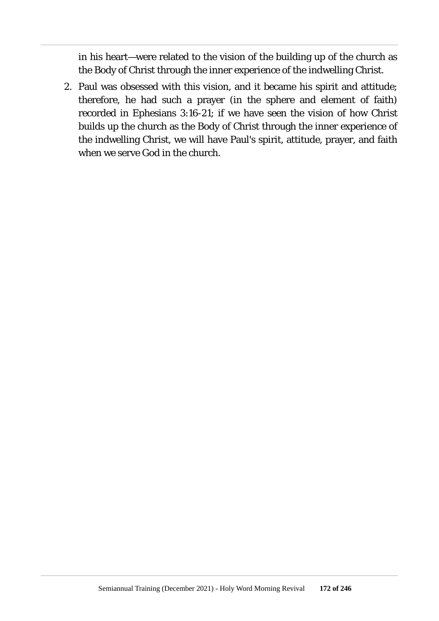in his heart—were related to the vision of the building up of the church as the Body of Christ through the inner experience of the indwelling Christ.

2. Paul was obsessed with this vision, and it became his spirit and attitude; therefore, he had such a prayer (in the sphere and element of faith) recorded in Ephesians 3:16-21; if we have seen the vision of how Christ builds up the church as the Body of Christ through the inner experience of the indwelling Christ, we will have Paul's spirit, attitude, prayer, and faith when we serve God in the church.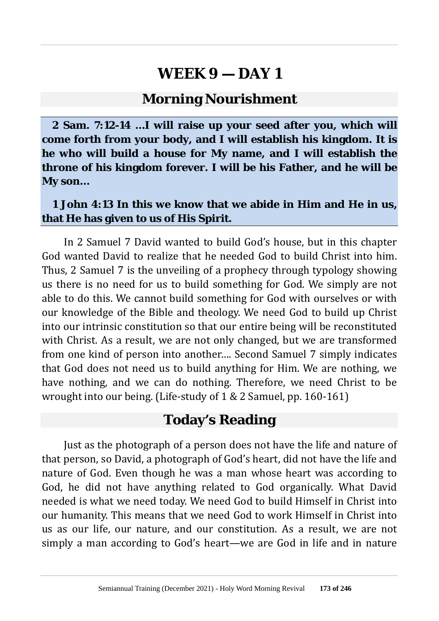#### **Morning Nourishment**

**2 Sam. 7:12-14 …I will raise up your seed after you, which will come forth from your body, and I will establish his kingdom. It is he who will build a house for My name, and I will establish the throne of his kingdom forever. I will be his Father, and he will be My son…**

#### **1 John 4:13 In this we know that we abide in Him and He in us, that He has given to us of His Spirit.**

In 2 Samuel 7 David wanted to build God's house, but in this chapter God wanted David to realize that he needed God to build Christ into him. Thus, 2 Samuel 7 is the unveiling of a prophecy through typology showing us there is no need for us to build something for God. We simply are not able to do this. We cannot build something for God with ourselves or with our knowledge of the Bible and theology. We need God to build up Christ into our intrinsic constitution so that our entire being will be reconstituted with Christ. As a result, we are not only changed, but we are transformed from one kind of person into another…. Second Samuel 7 simply indicates that God does not need us to build anything for Him. We are nothing, we have nothing, and we can do nothing. Therefore, we need Christ to be wrought into our being. (Life-study of 1 & 2 Samuel, pp. 160-161)

### **Today's Reading**

Just as the photograph of a person does not have the life and nature of that person, so David, a photograph of God's heart, did not have the life and nature of God. Even though he was a man whose heart was according to God, he did not have anything related to God organically. What David needed is what we need today. We need God to build Himself in Christ into our humanity. This means that we need God to work Himself in Christ into us as our life, our nature, and our constitution. As a result, we are not simply a man according to God's heart—we are God in life and in nature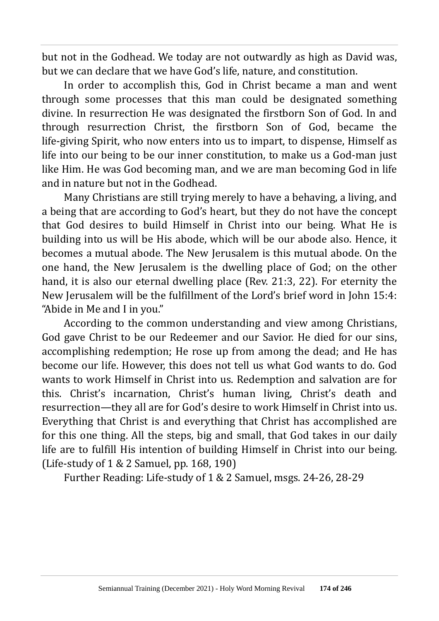but not in the Godhead. We today are not outwardly as high as David was, but we can declare that we have God's life, nature, and constitution.

In order to accomplish this, God in Christ became a man and went through some processes that this man could be designated something divine. In resurrection He was designated the firstborn Son of God. In and through resurrection Christ, the firstborn Son of God, became the life-giving Spirit, who now enters into us to impart, to dispense, Himself as life into our being to be our inner constitution, to make us a God-man just like Him. He was God becoming man, and we are man becoming God in life and in nature but not in the Godhead.

Many Christians are still trying merely to have a behaving, a living, and a being that are according to God's heart, but they do not have the concept that God desires to build Himself in Christ into our being. What He is building into us will be His abode, which will be our abode also. Hence, it becomes a mutual abode. The New Jerusalem is this mutual abode. On the one hand, the New Jerusalem is the dwelling place of God; on the other hand, it is also our eternal dwelling place (Rev. 21:3, 22). For eternity the New Jerusalem will be the fulfillment of the Lord's brief word in John 15:4: "Abide in Me and I in you."

According to the common understanding and view among Christians, God gave Christ to be our Redeemer and our Savior. He died for our sins, accomplishing redemption; He rose up from among the dead; and He has become our life. However, this does not tell us what God wants to do. God wants to work Himself in Christ into us. Redemption and salvation are for this. Christ's incarnation, Christ's human living, Christ's death and resurrection—they all are for God's desire to work Himself in Christ into us. Everything that Christ is and everything that Christ has accomplished are for this one thing. All the steps, big and small, that God takes in our daily life are to fulfill His intention of building Himself in Christ into our being. (Life-study of 1 & 2 Samuel, pp. 168, 190)

Further Reading: Life-study of 1 & 2 Samuel, msgs. 24-26, 28-29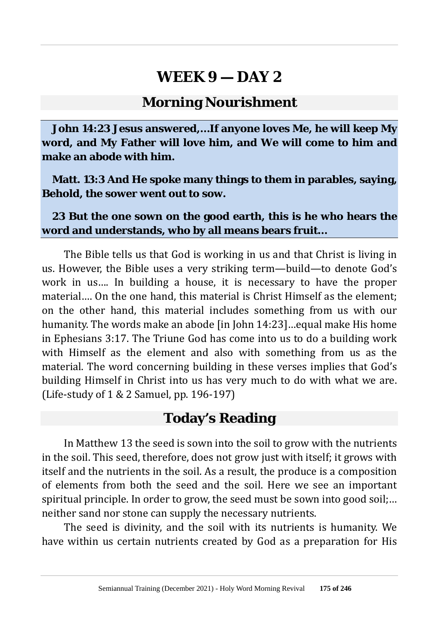### **Morning Nourishment**

**John 14:23 Jesus answered,…If anyone loves Me, he will keep My word, and My Father will love him, and We will come to him and make an abode with him.**

**Matt. 13:3 And He spoke many things to them in parables, saying, Behold, the sower went out to sow.**

**23 But the one sown on the good earth, this is he who hears the word and understands, who by all means bears fruit…**

The Bible tells us that God is working in us and that Christ is living in us. However, the Bible uses a very striking term—build—to denote God's work in us…. In building a house, it is necessary to have the proper material…. On the one hand, this material is Christ Himself as the element; on the other hand, this material includes something from us with our humanity. The words make an abode [in John 14:23]…equal make His home in Ephesians 3:17. The Triune God has come into us to do a building work with Himself as the element and also with something from us as the material. The word concerning building in these verses implies that God's building Himself in Christ into us has very much to do with what we are. (Life-study of 1 & 2 Samuel, pp. 196-197)

#### **Today's Reading**

In Matthew 13 the seed is sown into the soil to grow with the nutrients in the soil. This seed, therefore, does not grow just with itself; it grows with itself and the nutrients in the soil. As a result, the produce is a composition of elements from both the seed and the soil. Here we see an important spiritual principle. In order to grow, the seed must be sown into good soil;… neither sand nor stone can supply the necessary nutrients.

The seed is divinity, and the soil with its nutrients is humanity. We have within us certain nutrients created by God as a preparation for His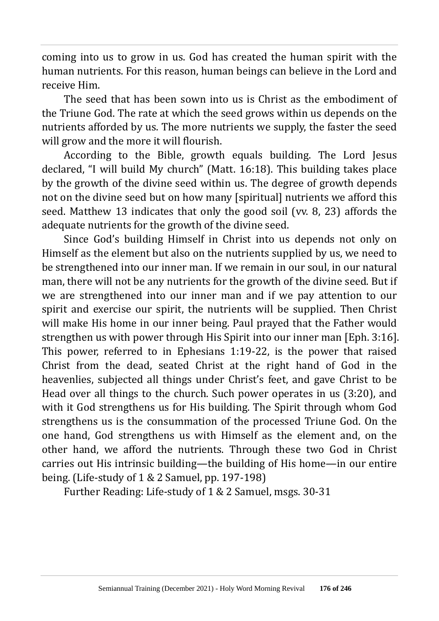coming into us to grow in us. God has created the human spirit with the human nutrients. For this reason, human beings can believe in the Lord and receive Him.

The seed that has been sown into us is Christ as the embodiment of the Triune God. The rate at which the seed grows within us depends on the nutrients afforded by us. The more nutrients we supply, the faster the seed will grow and the more it will flourish.

According to the Bible, growth equals building. The Lord Jesus declared, "I will build My church" (Matt. 16:18). This building takes place by the growth of the divine seed within us. The degree of growth depends not on the divine seed but on how many [spiritual] nutrients we afford this seed. Matthew 13 indicates that only the good soil (vv. 8, 23) affords the adequate nutrients for the growth of the divine seed.

Since God's building Himself in Christ into us depends not only on Himself as the element but also on the nutrients supplied by us, we need to be strengthened into our inner man. If we remain in our soul, in our natural man, there will not be any nutrients for the growth of the divine seed. But if we are strengthened into our inner man and if we pay attention to our spirit and exercise our spirit, the nutrients will be supplied. Then Christ will make His home in our inner being. Paul prayed that the Father would strengthen us with power through His Spirit into our inner man [Eph. 3:16]. This power, referred to in Ephesians 1:19-22, is the power that raised Christ from the dead, seated Christ at the right hand of God in the heavenlies, subjected all things under Christ's feet, and gave Christ to be Head over all things to the church. Such power operates in us (3:20), and with it God strengthens us for His building. The Spirit through whom God strengthens us is the consummation of the processed Triune God. On the one hand, God strengthens us with Himself as the element and, on the other hand, we afford the nutrients. Through these two God in Christ carries out His intrinsic building—the building of His home—in our entire being. (Life-study of 1 & 2 Samuel, pp. 197-198)

Further Reading: Life-study of 1 & 2 Samuel, msgs. 30-31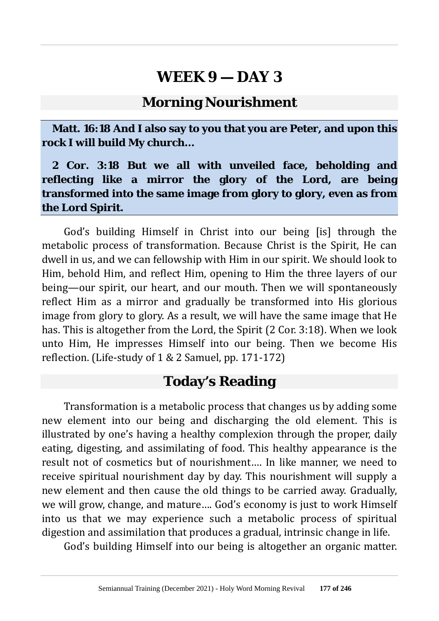#### **Morning Nourishment**

**Matt. 16:18 And I also say to you that you are Peter, and upon this rock I will build My church…**

**2 Cor. 3:18 But we all with unveiled face, beholding and reflecting like a mirror the glory of the Lord, are being transformed into the same image from glory to glory, even as from the Lord Spirit.**

God's building Himself in Christ into our being [is] through the metabolic process of transformation. Because Christ is the Spirit, He can dwell in us, and we can fellowship with Him in our spirit. We should look to Him, behold Him, and reflect Him, opening to Him the three layers of our being—our spirit, our heart, and our mouth. Then we will spontaneously reflect Him as a mirror and gradually be transformed into His glorious image from glory to glory. As a result, we will have the same image that He has. This is altogether from the Lord, the Spirit (2 Cor. 3:18). When we look unto Him, He impresses Himself into our being. Then we become His reflection. (Life-study of 1 & 2 Samuel, pp. 171-172)

### **Today's Reading**

Transformation is a metabolic process that changes us by adding some new element into our being and discharging the old element. This is illustrated by one's having a healthy complexion through the proper, daily eating, digesting, and assimilating of food. This healthy appearance is the result not of cosmetics but of nourishment…. In like manner, we need to receive spiritual nourishment day by day. This nourishment will supply a new element and then cause the old things to be carried away. Gradually, we will grow, change, and mature…. God's economy is just to work Himself into us that we may experience such a metabolic process of spiritual digestion and assimilation that produces a gradual, intrinsic change in life.

God's building Himself into our being is altogether an organic matter.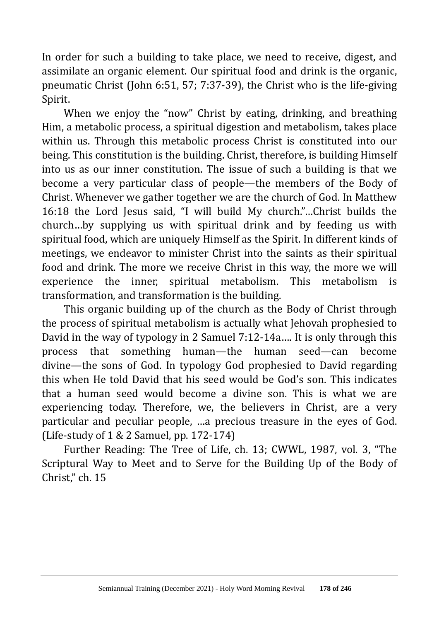In order for such a building to take place, we need to receive, digest, and assimilate an organic element. Our spiritual food and drink is the organic, pneumatic Christ (John 6:51, 57; 7:37-39), the Christ who is the life-giving Spirit.

When we enjoy the "now" Christ by eating, drinking, and breathing Him, a metabolic process, a spiritual digestion and metabolism, takes place within us. Through this metabolic process Christ is constituted into our being. This constitution is the building. Christ, therefore, is building Himself into us as our inner constitution. The issue of such a building is that we become a very particular class of people—the members of the Body of Christ. Whenever we gather together we are the church of God. In Matthew 16:18 the Lord Jesus said, "I will build My church."…Christ builds the church…by supplying us with spiritual drink and by feeding us with spiritual food, which are uniquely Himself as the Spirit. In different kinds of meetings, we endeavor to minister Christ into the saints as their spiritual food and drink. The more we receive Christ in this way, the more we will experience the inner, spiritual metabolism. This metabolism is transformation, and transformation is the building.

This organic building up of the church as the Body of Christ through the process of spiritual metabolism is actually what Jehovah prophesied to David in the way of typology in 2 Samuel 7:12-14a…. It is only through this process that something human—the human seed—can become divine—the sons of God. In typology God prophesied to David regarding this when He told David that his seed would be God's son. This indicates that a human seed would become a divine son. This is what we are experiencing today. Therefore, we, the believers in Christ, are a very particular and peculiar people, …a precious treasure in the eyes of God. (Life-study of 1 & 2 Samuel, pp. 172-174)

Further Reading: The Tree of Life, ch. 13; CWWL, 1987, vol. 3, "The Scriptural Way to Meet and to Serve for the Building Up of the Body of Christ," ch. 15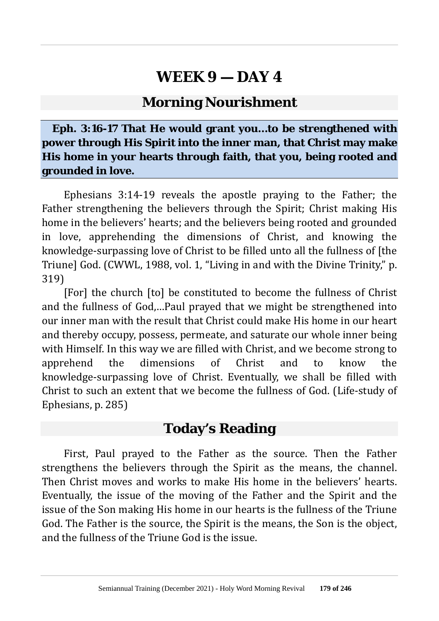### **Morning Nourishment**

#### **Eph. 3:16-17 That He would grant you…to be strengthened with power through His Spirit into the inner man, that Christ may make His home in your hearts through faith, that you, being rooted and grounded in love.**

Ephesians 3:14-19 reveals the apostle praying to the Father; the Father strengthening the believers through the Spirit; Christ making His home in the believers' hearts; and the believers being rooted and grounded in love, apprehending the dimensions of Christ, and knowing the knowledge-surpassing love of Christ to be filled unto all the fullness of [the Triune] God. (CWWL, 1988, vol. 1, "Living in and with the Divine Trinity," p. 319)

[For] the church [to] be constituted to become the fullness of Christ and the fullness of God,…Paul prayed that we might be strengthened into our inner man with the result that Christ could make His home in our heart and thereby occupy, possess, permeate, and saturate our whole inner being with Himself. In this way we are filled with Christ, and we become strong to apprehend the dimensions of Christ and to know the knowledge-surpassing love of Christ. Eventually, we shall be filled with Christ to such an extent that we become the fullness of God. (Life-study of Ephesians, p. 285)

### **Today's Reading**

First, Paul prayed to the Father as the source. Then the Father strengthens the believers through the Spirit as the means, the channel. Then Christ moves and works to make His home in the believers' hearts. Eventually, the issue of the moving of the Father and the Spirit and the issue of the Son making His home in our hearts is the fullness of the Triune God. The Father is the source, the Spirit is the means, the Son is the object, and the fullness of the Triune God is the issue.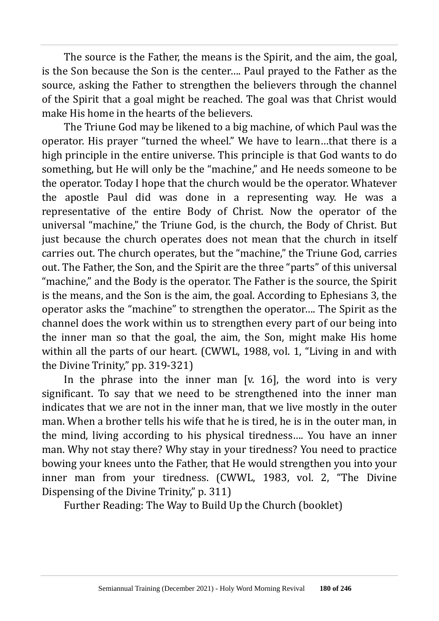The source is the Father, the means is the Spirit, and the aim, the goal, is the Son because the Son is the center…. Paul prayed to the Father as the source, asking the Father to strengthen the believers through the channel of the Spirit that a goal might be reached. The goal was that Christ would make His home in the hearts of the believers.

The Triune God may be likened to a big machine, of which Paul was the operator. His prayer "turned the wheel." We have to learn…that there is a high principle in the entire universe. This principle is that God wants to do something, but He will only be the "machine," and He needs someone to be the operator. Today I hope that the church would be the operator. Whatever the apostle Paul did was done in a representing way. He was a representative of the entire Body of Christ. Now the operator of the universal "machine," the Triune God, is the church, the Body of Christ. But just because the church operates does not mean that the church in itself carries out. The church operates, but the "machine," the Triune God, carries out. The Father, the Son, and the Spirit are the three "parts" of this universal "machine," and the Body is the operator. The Father is the source, the Spirit is the means, and the Son is the aim, the goal. According to Ephesians 3, the operator asks the "machine" to strengthen the operator…. The Spirit as the channel does the work within us to strengthen every part of our being into the inner man so that the goal, the aim, the Son, might make His home within all the parts of our heart. (CWWL, 1988, vol. 1, "Living in and with the Divine Trinity," pp. 319-321)

In the phrase into the inner man  $[x, 16]$ , the word into is very significant. To say that we need to be strengthened into the inner man indicates that we are not in the inner man, that we live mostly in the outer man. When a brother tells his wife that he is tired, he is in the outer man, in the mind, living according to his physical tiredness…. You have an inner man. Why not stay there? Why stay in your tiredness? You need to practice bowing your knees unto the Father, that He would strengthen you into your inner man from your tiredness. (CWWL, 1983, vol. 2, "The Divine Dispensing of the Divine Trinity," p. 311)

Further Reading: The Way to Build Up the Church (booklet)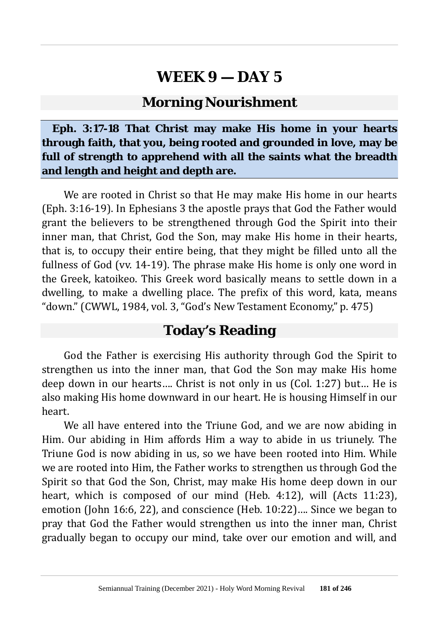### **Morning Nourishment**

**Eph. 3:17-18 That Christ may make His home in your hearts through faith, that you, being rooted and grounded in love, may be full of strength to apprehend with all the saints what the breadth and length and height and depth are.**

We are rooted in Christ so that He may make His home in our hearts (Eph. 3:16-19). In Ephesians 3 the apostle prays that God the Father would grant the believers to be strengthened through God the Spirit into their inner man, that Christ, God the Son, may make His home in their hearts, that is, to occupy their entire being, that they might be filled unto all the fullness of God (vv. 14-19). The phrase make His home is only one word in the Greek, katoikeo. This Greek word basically means to settle down in a dwelling, to make a dwelling place. The prefix of this word, kata, means "down." (CWWL, 1984, vol. 3, "God's New Testament Economy," p. 475)

### **Today's Reading**

God the Father is exercising His authority through God the Spirit to strengthen us into the inner man, that God the Son may make His home deep down in our hearts…. Christ is not only in us (Col. 1:27) but… He is also making His home downward in our heart. He is housing Himself in our heart.

We all have entered into the Triune God, and we are now abiding in Him. Our abiding in Him affords Him a way to abide in us triunely. The Triune God is now abiding in us, so we have been rooted into Him. While we are rooted into Him, the Father works to strengthen us through God the Spirit so that God the Son, Christ, may make His home deep down in our heart, which is composed of our mind (Heb. 4:12), will (Acts 11:23), emotion (John 16:6, 22), and conscience (Heb. 10:22)…. Since we began to pray that God the Father would strengthen us into the inner man, Christ gradually began to occupy our mind, take over our emotion and will, and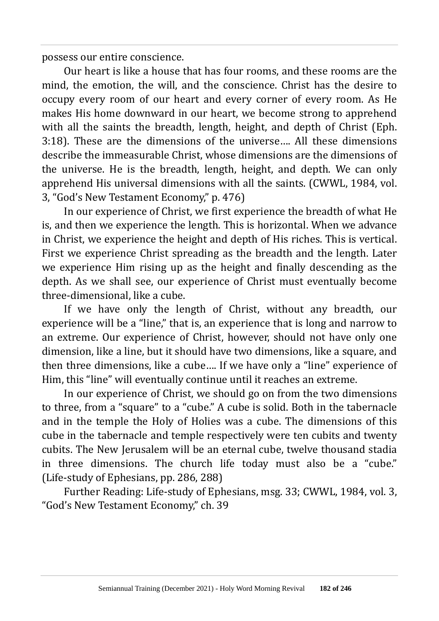possess our entire conscience.

Our heart is like a house that has four rooms, and these rooms are the mind, the emotion, the will, and the conscience. Christ has the desire to occupy every room of our heart and every corner of every room. As He makes His home downward in our heart, we become strong to apprehend with all the saints the breadth, length, height, and depth of Christ (Eph. 3:18). These are the dimensions of the universe…. All these dimensions describe the immeasurable Christ, whose dimensions are the dimensions of the universe. He is the breadth, length, height, and depth. We can only apprehend His universal dimensions with all the saints. (CWWL, 1984, vol. 3, "God's New Testament Economy," p. 476)

In our experience of Christ, we first experience the breadth of what He is, and then we experience the length. This is horizontal. When we advance in Christ, we experience the height and depth of His riches. This is vertical. First we experience Christ spreading as the breadth and the length. Later we experience Him rising up as the height and finally descending as the depth. As we shall see, our experience of Christ must eventually become three-dimensional, like a cube.

If we have only the length of Christ, without any breadth, our experience will be a "line," that is, an experience that is long and narrow to an extreme. Our experience of Christ, however, should not have only one dimension, like a line, but it should have two dimensions, like a square, and then three dimensions, like a cube…. If we have only a "line" experience of Him, this "line" will eventually continue until it reaches an extreme.

In our experience of Christ, we should go on from the two dimensions to three, from a "square" to a "cube." A cube is solid. Both in the tabernacle and in the temple the Holy of Holies was a cube. The dimensions of this cube in the tabernacle and temple respectively were ten cubits and twenty cubits. The New Jerusalem will be an eternal cube, twelve thousand stadia in three dimensions. The church life today must also be a "cube." (Life-study of Ephesians, pp. 286, 288)

Further Reading: Life-study of Ephesians, msg. 33; CWWL, 1984, vol. 3, "God's New Testament Economy," ch. 39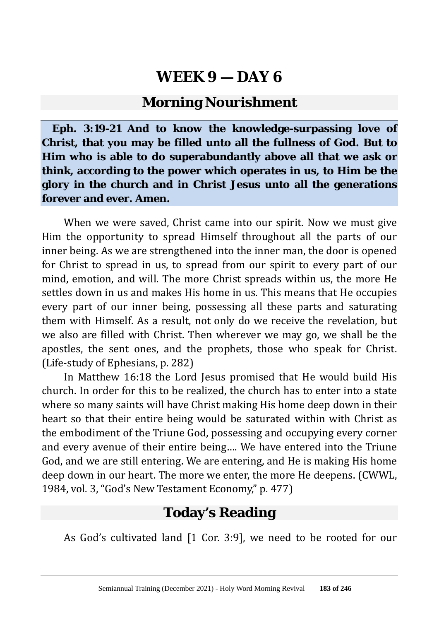#### **Morning Nourishment**

**Eph. 3:19-21 And to know the knowledge-surpassing love of Christ, that you may be filled unto all the fullness of God. But to Him who is able to do superabundantly above all that we ask or think, according to the power which operates in us, to Him be the glory in the church and in Christ Jesus unto all the generations forever and ever. Amen.**

When we were saved, Christ came into our spirit. Now we must give Him the opportunity to spread Himself throughout all the parts of our inner being. As we are strengthened into the inner man, the door is opened for Christ to spread in us, to spread from our spirit to every part of our mind, emotion, and will. The more Christ spreads within us, the more He settles down in us and makes His home in us. This means that He occupies every part of our inner being, possessing all these parts and saturating them with Himself. As a result, not only do we receive the revelation, but we also are filled with Christ. Then wherever we may go, we shall be the apostles, the sent ones, and the prophets, those who speak for Christ. (Life-study of Ephesians, p. 282)

In Matthew 16:18 the Lord Jesus promised that He would build His church. In order for this to be realized, the church has to enter into a state where so many saints will have Christ making His home deep down in their heart so that their entire being would be saturated within with Christ as the embodiment of the Triune God, possessing and occupying every corner and every avenue of their entire being…. We have entered into the Triune God, and we are still entering. We are entering, and He is making His home deep down in our heart. The more we enter, the more He deepens. (CWWL, 1984, vol. 3, "God's New Testament Economy," p. 477)

### **Today's Reading**

As God's cultivated land [1 Cor. 3:9], we need to be rooted for our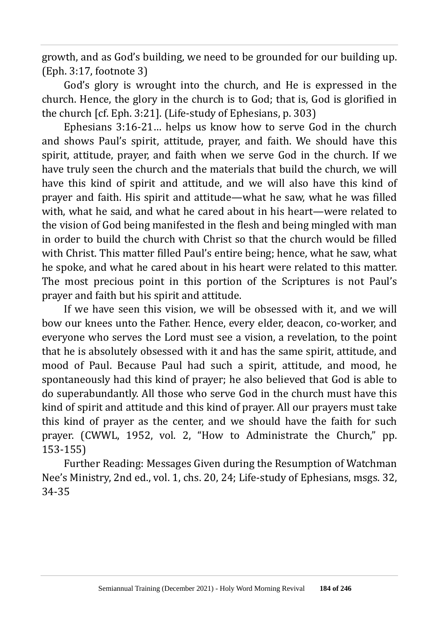growth, and as God's building, we need to be grounded for our building up. (Eph. 3:17, footnote 3)

God's glory is wrought into the church, and He is expressed in the church. Hence, the glory in the church is to God; that is, God is glorified in the church [cf. Eph. 3:21]. (Life-study of Ephesians, p. 303)

Ephesians 3:16-21… helps us know how to serve God in the church and shows Paul's spirit, attitude, prayer, and faith. We should have this spirit, attitude, prayer, and faith when we serve God in the church. If we have truly seen the church and the materials that build the church, we will have this kind of spirit and attitude, and we will also have this kind of prayer and faith. His spirit and attitude—what he saw, what he was filled with, what he said, and what he cared about in his heart—were related to the vision of God being manifested in the flesh and being mingled with man in order to build the church with Christ so that the church would be filled with Christ. This matter filled Paul's entire being; hence, what he saw, what he spoke, and what he cared about in his heart were related to this matter. The most precious point in this portion of the Scriptures is not Paul's prayer and faith but his spirit and attitude.

If we have seen this vision, we will be obsessed with it, and we will bow our knees unto the Father. Hence, every elder, deacon, co-worker, and everyone who serves the Lord must see a vision, a revelation, to the point that he is absolutely obsessed with it and has the same spirit, attitude, and mood of Paul. Because Paul had such a spirit, attitude, and mood, he spontaneously had this kind of prayer; he also believed that God is able to do superabundantly. All those who serve God in the church must have this kind of spirit and attitude and this kind of prayer. All our prayers must take this kind of prayer as the center, and we should have the faith for such prayer. (CWWL, 1952, vol. 2, "How to Administrate the Church," pp. 153-155)

Further Reading: Messages Given during the Resumption of Watchman Nee's Ministry, 2nd ed., vol. 1, chs. 20, 24; Life-study of Ephesians, msgs. 32, 34-35